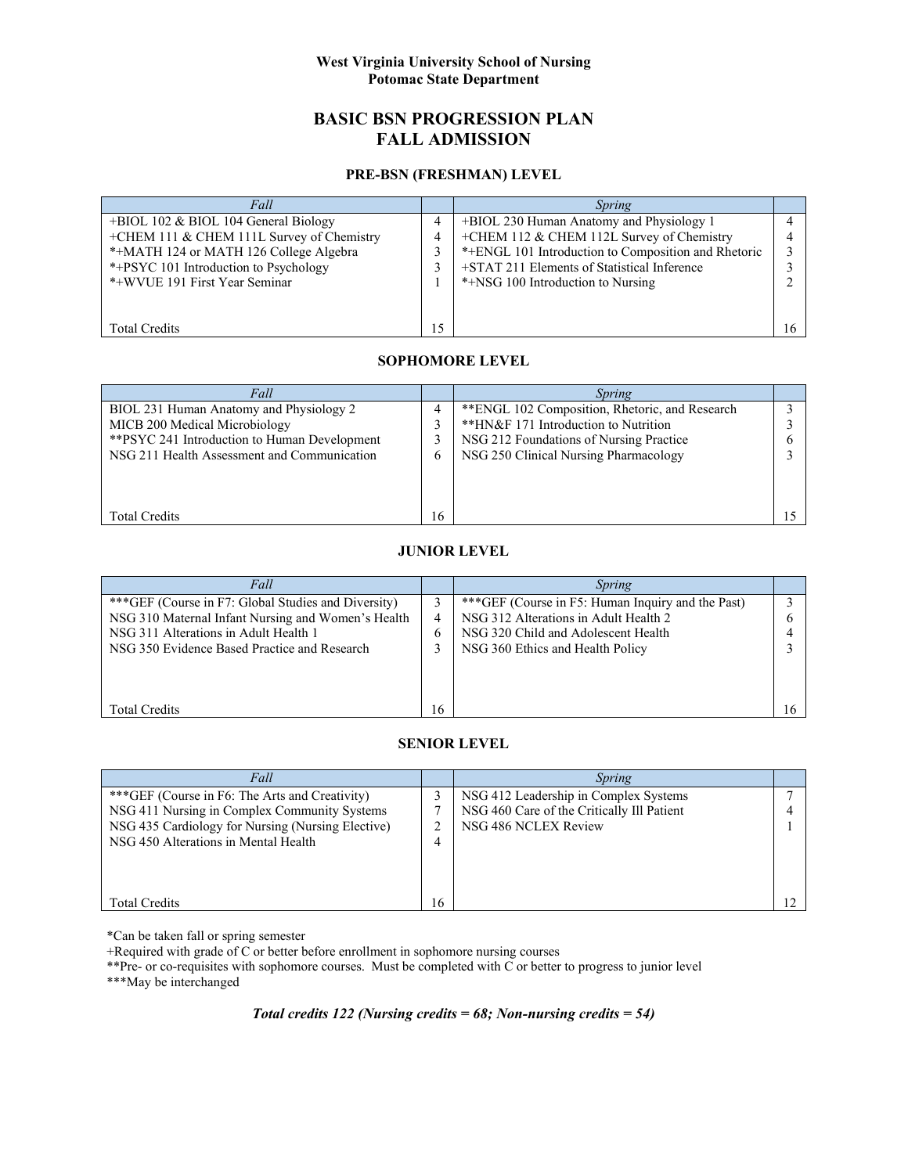### **BASIC BSN PROGRESSION PLAN FALL ADMISSION**

#### **PRE-BSN (FRESHMAN) LEVEL**

| Fall                                      |    | Spring                                              |  |
|-------------------------------------------|----|-----------------------------------------------------|--|
| +BIOL 102 & BIOL 104 General Biology      | 4  | +BIOL 230 Human Anatomy and Physiology 1            |  |
| +CHEM 111 & CHEM 111L Survey of Chemistry | 4  | +CHEM 112 & CHEM 112L Survey of Chemistry           |  |
| *+MATH 124 or MATH 126 College Algebra    |    | *+ENGL 101 Introduction to Composition and Rhetoric |  |
| *+PSYC 101 Introduction to Psychology     |    | +STAT 211 Elements of Statistical Inference         |  |
| *+WVUE 191 First Year Seminar             |    | *+NSG 100 Introduction to Nursing                   |  |
|                                           |    |                                                     |  |
|                                           |    |                                                     |  |
| <b>Total Credits</b>                      | 15 |                                                     |  |

#### **SOPHOMORE LEVEL**

| Fall                                         |              | Spring                                         |  |
|----------------------------------------------|--------------|------------------------------------------------|--|
| BIOL 231 Human Anatomy and Physiology 2      |              | **ENGL 102 Composition, Rhetoric, and Research |  |
| MICB 200 Medical Microbiology                |              | **HN&F 171 Introduction to Nutrition           |  |
| **PSYC 241 Introduction to Human Development |              | NSG 212 Foundations of Nursing Practice        |  |
| NSG 211 Health Assessment and Communication  | <sub>b</sub> | NSG 250 Clinical Nursing Pharmacology          |  |
|                                              |              |                                                |  |
|                                              |              |                                                |  |
|                                              |              |                                                |  |
| <b>Total Credits</b>                         | 16           |                                                |  |

#### **JUNIOR LEVEL**

|    | Spring                                            |    |
|----|---------------------------------------------------|----|
|    | ***GEF (Course in F5: Human Inquiry and the Past) |    |
| 4  | NSG 312 Alterations in Adult Health 2             |    |
| 6  | NSG 320 Child and Adolescent Health               |    |
|    | NSG 360 Ethics and Health Policy                  |    |
|    |                                                   |    |
|    |                                                   |    |
|    |                                                   |    |
| 16 |                                                   | 16 |
|    |                                                   |    |

### **SENIOR LEVEL**

| Fall                                              |    | Spring                                     |  |
|---------------------------------------------------|----|--------------------------------------------|--|
| *** GEF (Course in F6: The Arts and Creativity)   |    | NSG 412 Leadership in Complex Systems      |  |
| NSG 411 Nursing in Complex Community Systems      |    | NSG 460 Care of the Critically Ill Patient |  |
| NSG 435 Cardiology for Nursing (Nursing Elective) |    | NSG 486 NCLEX Review                       |  |
| NSG 450 Alterations in Mental Health              | 4  |                                            |  |
|                                                   |    |                                            |  |
|                                                   |    |                                            |  |
|                                                   |    |                                            |  |
| <b>Total Credits</b>                              | 16 |                                            |  |

\*Can be taken fall or spring semester

+Required with grade of C or better before enrollment in sophomore nursing courses

\*\*Pre- or co-requisites with sophomore courses. Must be completed with C or better to progress to junior level

\*\*\*May be interchanged

#### *Total credits 122 (Nursing credits = 68; Non-nursing credits = 54)*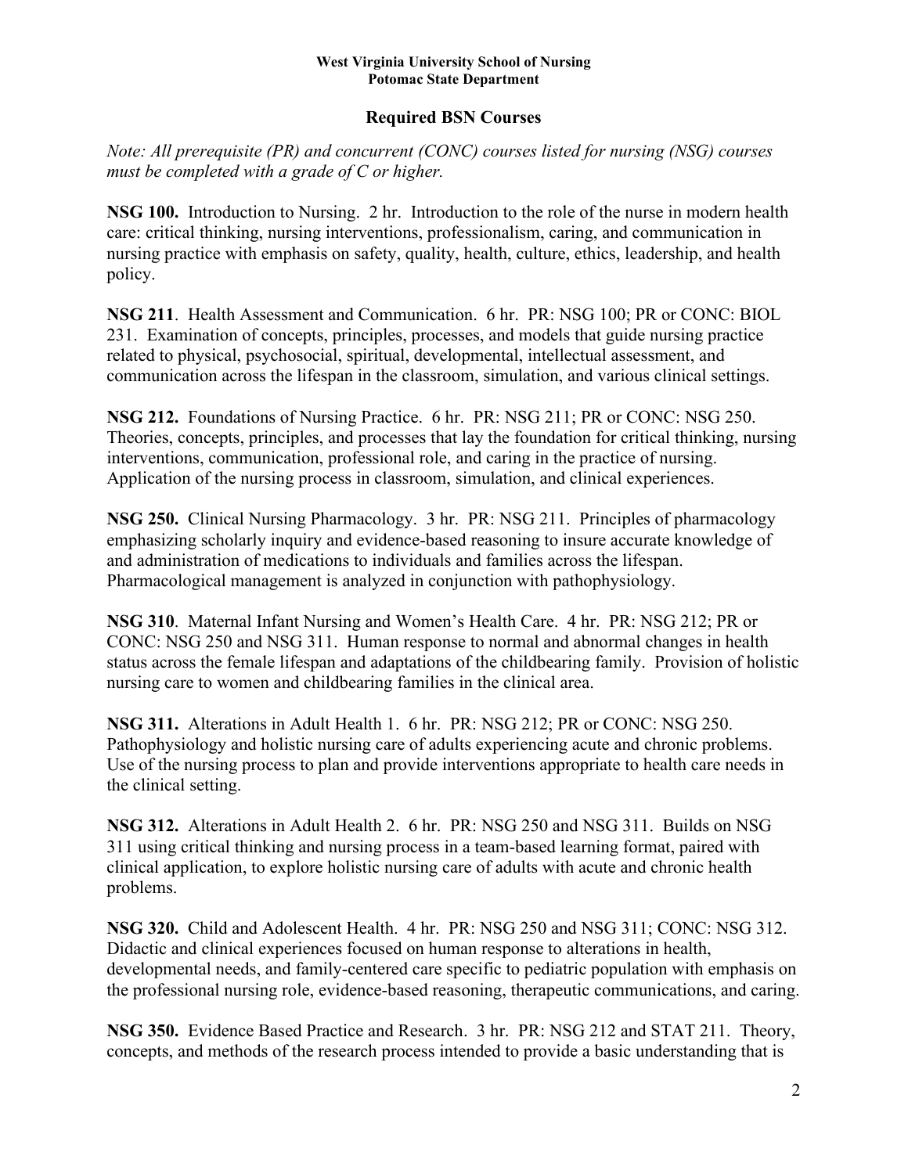# **Required BSN Courses**

*Note: All prerequisite (PR) and concurrent (CONC) courses listed for nursing (NSG) courses must be completed with a grade of C or higher.*

**NSG 100.** Introduction to Nursing. 2 hr. Introduction to the role of the nurse in modern health care: critical thinking, nursing interventions, professionalism, caring, and communication in nursing practice with emphasis on safety, quality, health, culture, ethics, leadership, and health policy.

**NSG 211**. Health Assessment and Communication. 6 hr. PR: NSG 100; PR or CONC: BIOL 231. Examination of concepts, principles, processes, and models that guide nursing practice related to physical, psychosocial, spiritual, developmental, intellectual assessment, and communication across the lifespan in the classroom, simulation, and various clinical settings.

**NSG 212.** Foundations of Nursing Practice. 6 hr. PR: NSG 211; PR or CONC: NSG 250. Theories, concepts, principles, and processes that lay the foundation for critical thinking, nursing interventions, communication, professional role, and caring in the practice of nursing. Application of the nursing process in classroom, simulation, and clinical experiences.

**NSG 250.** Clinical Nursing Pharmacology. 3 hr. PR: NSG 211. Principles of pharmacology emphasizing scholarly inquiry and evidence-based reasoning to insure accurate knowledge of and administration of medications to individuals and families across the lifespan. Pharmacological management is analyzed in conjunction with pathophysiology.

**NSG 310**. Maternal Infant Nursing and Women's Health Care. 4 hr. PR: NSG 212; PR or CONC: NSG 250 and NSG 311. Human response to normal and abnormal changes in health status across the female lifespan and adaptations of the childbearing family. Provision of holistic nursing care to women and childbearing families in the clinical area.

**NSG 311.** Alterations in Adult Health 1. 6 hr. PR: NSG 212; PR or CONC: NSG 250. Pathophysiology and holistic nursing care of adults experiencing acute and chronic problems. Use of the nursing process to plan and provide interventions appropriate to health care needs in the clinical setting.

**NSG 312.** Alterations in Adult Health 2. 6 hr. PR: NSG 250 and NSG 311. Builds on NSG 311 using critical thinking and nursing process in a team-based learning format, paired with clinical application, to explore holistic nursing care of adults with acute and chronic health problems.

**NSG 320.** Child and Adolescent Health. 4 hr. PR: NSG 250 and NSG 311; CONC: NSG 312. Didactic and clinical experiences focused on human response to alterations in health, developmental needs, and family-centered care specific to pediatric population with emphasis on the professional nursing role, evidence-based reasoning, therapeutic communications, and caring.

**NSG 350.** Evidence Based Practice and Research. 3 hr. PR: NSG 212 and STAT 211. Theory, concepts, and methods of the research process intended to provide a basic understanding that is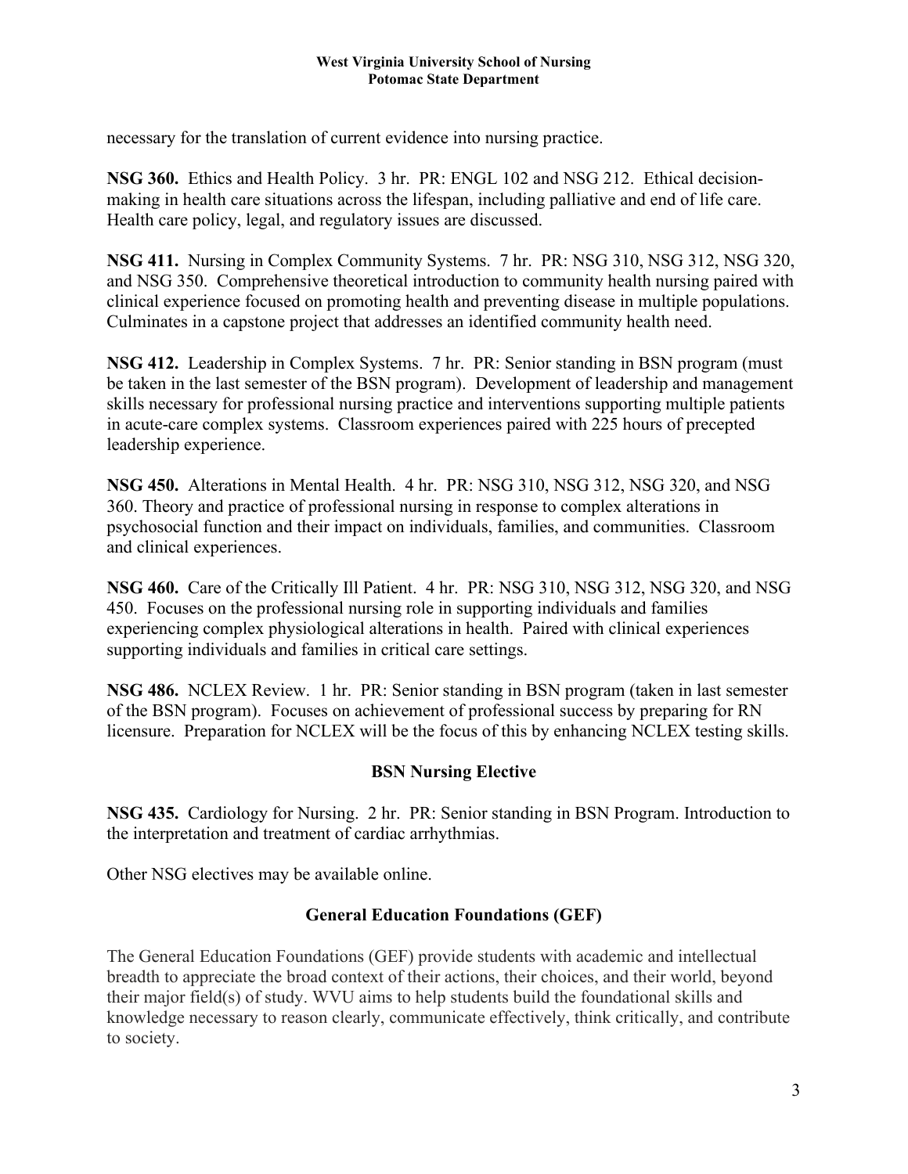necessary for the translation of current evidence into nursing practice.

**NSG 360.** Ethics and Health Policy. 3 hr. PR: ENGL 102 and NSG 212. Ethical decisionmaking in health care situations across the lifespan, including palliative and end of life care. Health care policy, legal, and regulatory issues are discussed.

**NSG 411.** Nursing in Complex Community Systems. 7 hr. PR: NSG 310, NSG 312, NSG 320, and NSG 350. Comprehensive theoretical introduction to community health nursing paired with clinical experience focused on promoting health and preventing disease in multiple populations. Culminates in a capstone project that addresses an identified community health need.

**NSG 412.** Leadership in Complex Systems. 7 hr. PR: Senior standing in BSN program (must be taken in the last semester of the BSN program). Development of leadership and management skills necessary for professional nursing practice and interventions supporting multiple patients in acute-care complex systems. Classroom experiences paired with 225 hours of precepted leadership experience.

**NSG 450.** Alterations in Mental Health. 4 hr. PR: NSG 310, NSG 312, NSG 320, and NSG 360. Theory and practice of professional nursing in response to complex alterations in psychosocial function and their impact on individuals, families, and communities. Classroom and clinical experiences.

**NSG 460.** Care of the Critically Ill Patient. 4 hr. PR: NSG 310, NSG 312, NSG 320, and NSG 450. Focuses on the professional nursing role in supporting individuals and families experiencing complex physiological alterations in health. Paired with clinical experiences supporting individuals and families in critical care settings.

**NSG 486.** NCLEX Review. 1 hr. PR: Senior standing in BSN program (taken in last semester of the BSN program). Focuses on achievement of professional success by preparing for RN licensure. Preparation for NCLEX will be the focus of this by enhancing NCLEX testing skills.

# **BSN Nursing Elective**

**NSG 435.** Cardiology for Nursing. 2 hr. PR: Senior standing in BSN Program. Introduction to the interpretation and treatment of cardiac arrhythmias.

Other NSG electives may be available online.

# **General Education Foundations (GEF)**

The General Education Foundations (GEF) provide students with academic and intellectual breadth to appreciate the broad context of their actions, their choices, and their world, beyond their major field(s) of study. WVU aims to help students build the foundational skills and knowledge necessary to reason clearly, communicate effectively, think critically, and contribute to society.